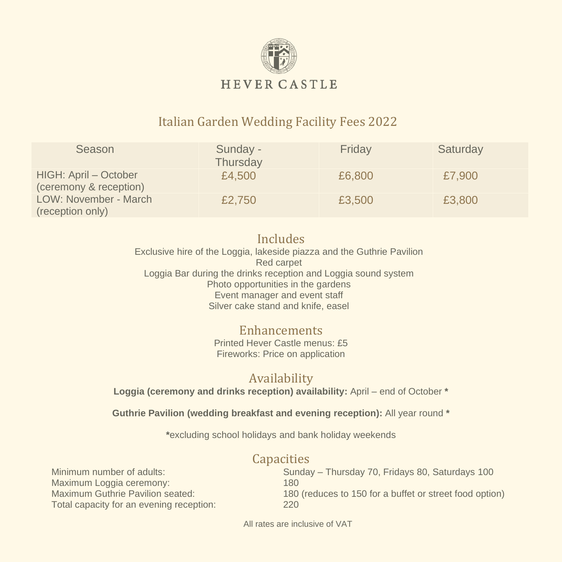

## Italian Garden Wedding Facility Fees 2022

| Season                                          | Sunday -<br>Thursday | Friday | Saturday |
|-------------------------------------------------|----------------------|--------|----------|
| HIGH: April - October<br>(ceremony & reception) | £4,500               | £6,800 | £7,900   |
| LOW: November - March<br>(reception only)       | £2,750               | £3,500 | £3,800   |

#### Includes Exclusive hire of the Loggia, lakeside piazza and the Guthrie Pavilion Red carpet Loggia Bar during the drinks reception and Loggia sound system Photo opportunities in the gardens Event manager and event staff Silver cake stand and knife, easel

#### Enhancements Printed Hever Castle menus: £5 Fireworks: Price on application

## Availability

**Loggia (ceremony and drinks reception) availability:** April – end of October **\***

**Guthrie Pavilion (wedding breakfast and evening reception):** All year round **\***

**\***excluding school holidays and bank holiday weekends

## **Capacities**

Maximum Loggia ceremony: 180 Total capacity for an evening reception: 220

Minimum number of adults: Sunday – Thursday 70, Fridays 80, Saturdays 100 Maximum Guthrie Pavilion seated: 180 (reduces to 150 for a buffet or street food option)

All rates are inclusive of VAT